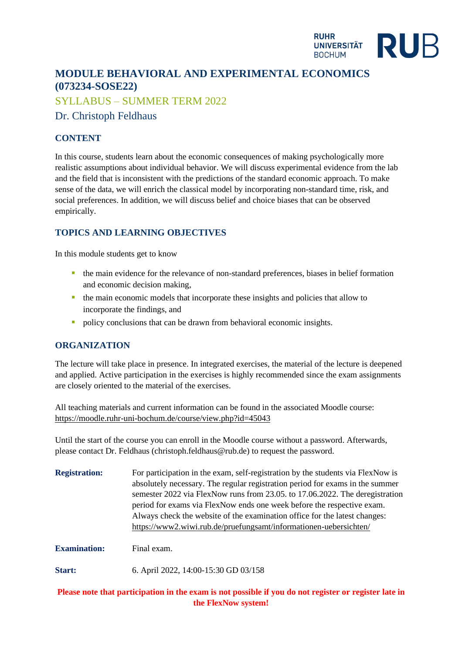#### **RUHR RUB UNIVERSITÄT BOCHUM**

# **MODULE BEHAVIORAL AND EXPERIMENTAL ECONOMICS (073234-SOSE22)**

SYLLABUS – SUMMER TERM 2022

Dr. Christoph Feldhaus

## **CONTENT**

In this course, students learn about the economic consequences of making psychologically more realistic assumptions about individual behavior. We will discuss experimental evidence from the lab and the field that is inconsistent with the predictions of the standard economic approach. To make sense of the data, we will enrich the classical model by incorporating non-standard time, risk, and social preferences. In addition, we will discuss belief and choice biases that can be observed empirically.

## **TOPICS AND LEARNING OBJECTIVES**

In this module students get to know

- the main evidence for the relevance of non-standard preferences, biases in belief formation and economic decision making,
- **•** the main economic models that incorporate these insights and policies that allow to incorporate the findings, and
- policy conclusions that can be drawn from behavioral economic insights.

## **ORGANIZATION**

The lecture will take place in presence. In integrated exercises, the material of the lecture is deepened and applied. Active participation in the exercises is highly recommended since the exam assignments are closely oriented to the material of the exercises.

All teaching materials and current information can be found in the associated Moodle course: <https://moodle.ruhr-uni-bochum.de/course/view.php?id=45043>

Until the start of the course you can enroll in the Moodle course without a password. Afterwards, please contact Dr. Feldhaus (christoph.feldhaus@rub.de) to request the password.

| <b>Registration:</b> | For participation in the exam, self-registration by the students via FlexNow is |
|----------------------|---------------------------------------------------------------------------------|
|                      | absolutely necessary. The regular registration period for exams in the summer   |
|                      | semester 2022 via FlexNow runs from 23.05. to 17.06.2022. The deregistration    |
|                      | period for exams via FlexNow ends one week before the respective exam.          |
|                      | Always check the website of the examination office for the latest changes:      |
|                      | https://www2.wiwi.rub.de/pruefungsamt/informationen-uebersichten/               |
|                      |                                                                                 |

**Examination:** Final exam.

**Start:** 6. April 2022, 14:00-15:30 GD 03/158

## Please note that participation in the exam is not possible if you do not register or register late in **the FlexNow system!**